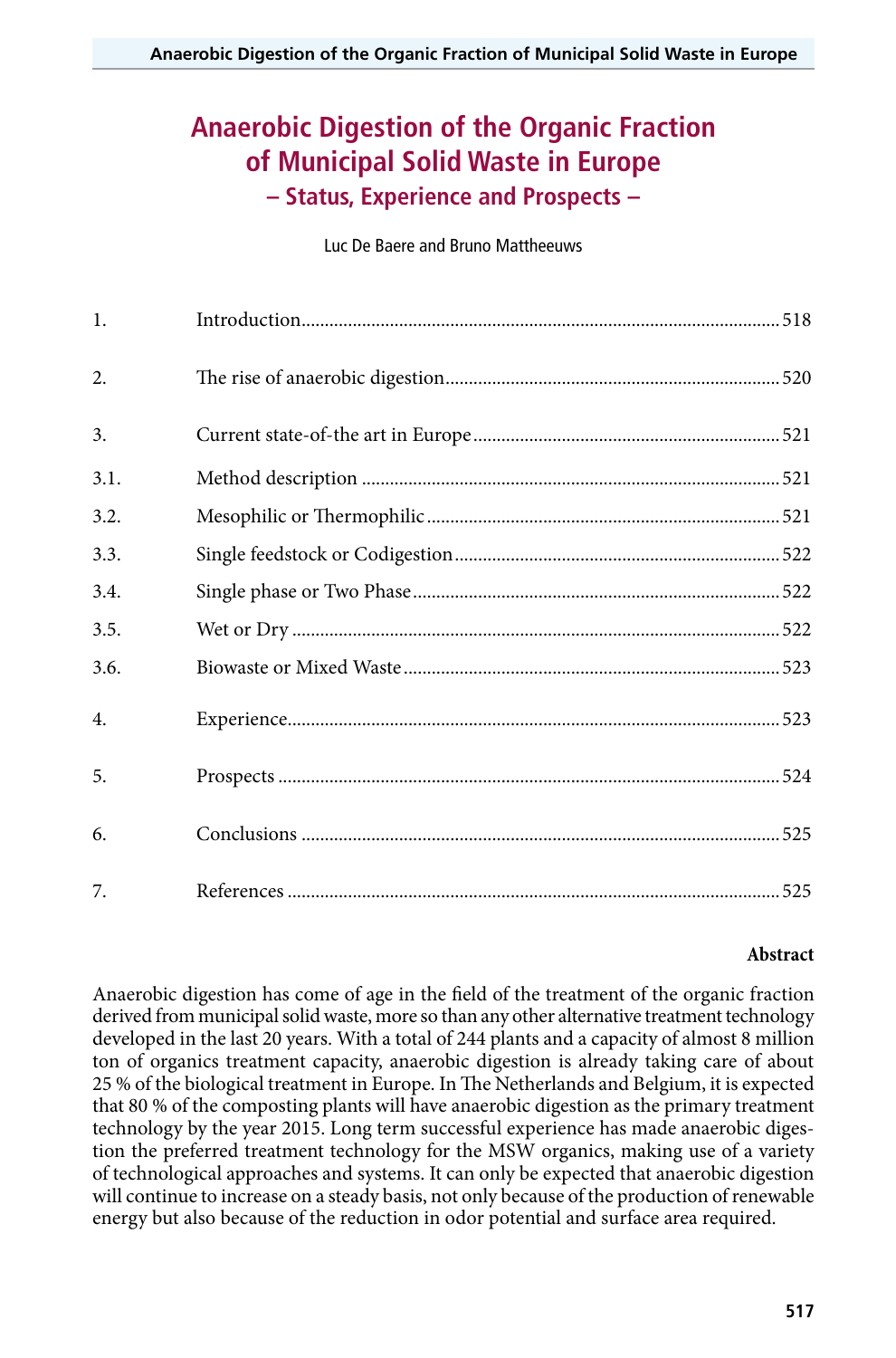# **Anaerobic Digestion of the Organic Fraction of Municipal Solid Waste in Europe – Status, Experience and Prospects –**

Luc De Baere and Bruno Mattheeuws

| 1.   |  |
|------|--|
| 2.   |  |
| 3.   |  |
| 3.1. |  |
| 3.2. |  |
| 3.3. |  |
| 3.4. |  |
| 3.5. |  |
| 3.6. |  |
| 4.   |  |
| 5.   |  |
| 6.   |  |
| 7.   |  |

#### **Abstract**

Anaerobic digestion has come of age in the field of the treatment of the organic fraction derived from municipal solid waste, more so than any other alternative treatment technology developed in the last 20 years. With a total of 244 plants and a capacity of almost 8 million ton of organics treatment capacity, anaerobic digestion is already taking care of about 25 % of the biological treatment in Europe. In The Netherlands and Belgium, it is expected that 80 % of the composting plants will have anaerobic digestion as the primary treatment technology by the year 2015. Long term successful experience has made anaerobic digestion the preferred treatment technology for the MSW organics, making use of a variety of technological approaches and systems. It can only be expected that anaerobic digestion will continue to increase on a steady basis, not only because of the production of renewable energy but also because of the reduction in odor potential and surface area required.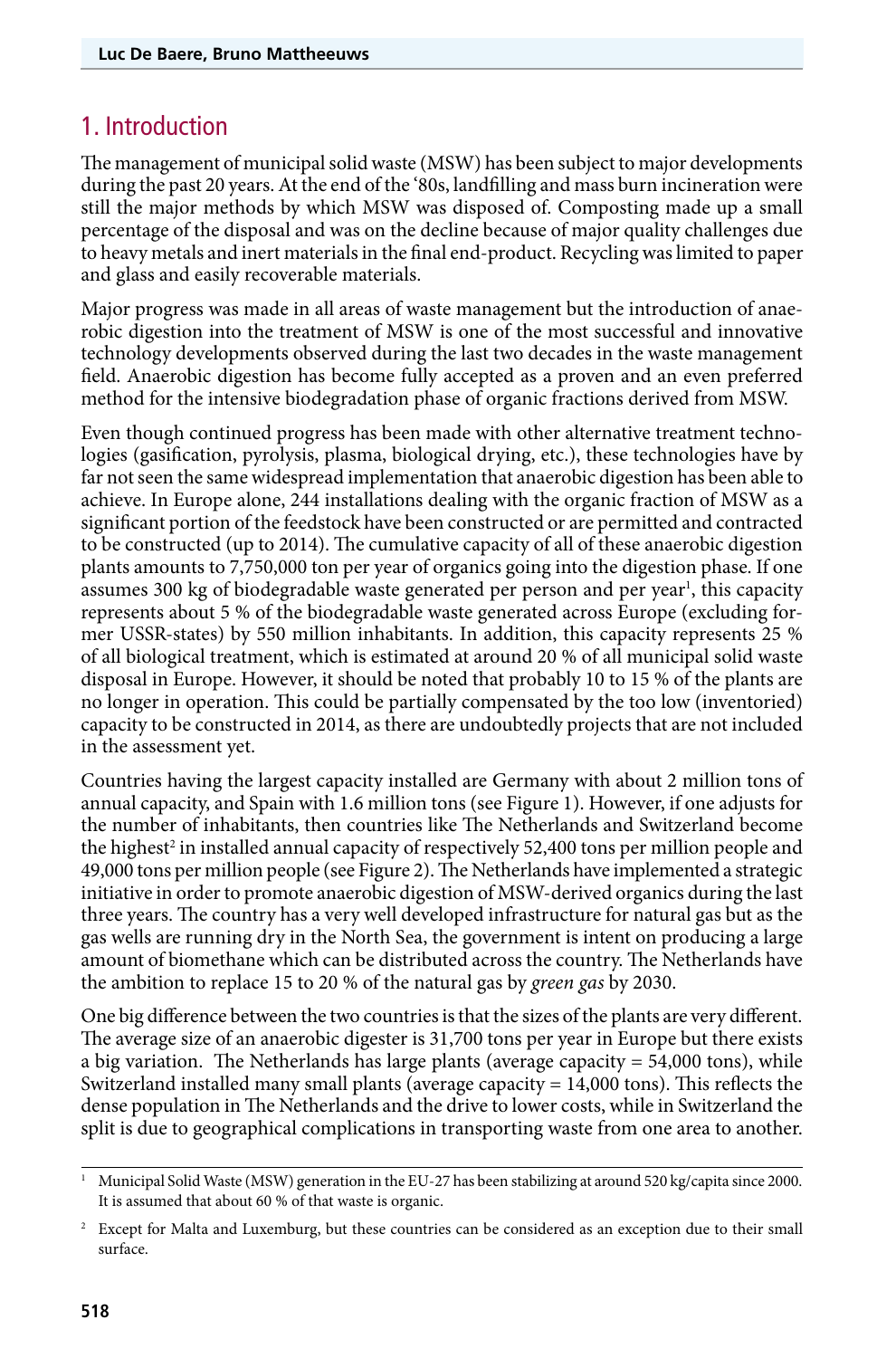### 1. Introduction

The management of municipal solid waste (MSW) has been subject to major developments during the past 20 years. At the end of the '80s, landfilling and mass burn incineration were still the major methods by which MSW was disposed of. Composting made up a small percentage of the disposal and was on the decline because of major quality challenges due to heavy metals and inert materials in the final end-product. Recycling was limited to paper and glass and easily recoverable materials.

Major progress was made in all areas of waste management but the introduction of anaerobic digestion into the treatment of MSW is one of the most successful and innovative technology developments observed during the last two decades in the waste management field. Anaerobic digestion has become fully accepted as a proven and an even preferred method for the intensive biodegradation phase of organic fractions derived from MSW.

Even though continued progress has been made with other alternative treatment technologies (gasification, pyrolysis, plasma, biological drying, etc.), these technologies have by far not seen the same widespread implementation that anaerobic digestion has been able to achieve. In Europe alone, 244 installations dealing with the organic fraction of MSW as a significant portion of the feedstock have been constructed or are permitted and contracted to be constructed (up to 2014). The cumulative capacity of all of these anaerobic digestion plants amounts to 7,750,000 ton per year of organics going into the digestion phase. If one assumes 300 kg of biodegradable waste generated per person and per year<sup>1</sup>, this capacity represents about 5 % of the biodegradable waste generated across Europe (excluding former USSR-states) by 550 million inhabitants. In addition, this capacity represents 25 % of all biological treatment, which is estimated at around 20 % of all municipal solid waste disposal in Europe. However, it should be noted that probably 10 to 15 % of the plants are no longer in operation. This could be partially compensated by the too low (inventoried) capacity to be constructed in 2014, as there are undoubtedly projects that are not included in the assessment yet.

Countries having the largest capacity installed are Germany with about 2 million tons of annual capacity, and Spain with 1.6 million tons (see Figure 1). However, if one adjusts for the number of inhabitants, then countries like The Netherlands and Switzerland become the highest<sup>2</sup> in installed annual capacity of respectively 52,400 tons per million people and 49,000 tons per million people (see Figure 2). The Netherlands have implemented a strategic initiative in order to promote anaerobic digestion of MSW-derived organics during the last three years. The country has a very well developed infrastructure for natural gas but as the gas wells are running dry in the North Sea, the government is intent on producing a large amount of biomethane which can be distributed across the country. The Netherlands have the ambition to replace 15 to 20 % of the natural gas by *green gas* by 2030.

One big difference between the two countries is that the sizes of the plants are very different. The average size of an anaerobic digester is 31,700 tons per year in Europe but there exists a big variation. The Netherlands has large plants (average capacity  $= 54,000$  tons), while Switzerland installed many small plants (average capacity = 14,000 tons). This reflects the dense population in The Netherlands and the drive to lower costs, while in Switzerland the split is due to geographical complications in transporting waste from one area to another.

<sup>1</sup> Municipal Solid Waste (MSW) generation in the EU-27 has been stabilizing at around 520 kg/capita since 2000. It is assumed that about 60 % of that waste is organic.

<sup>&</sup>lt;sup>2</sup> Except for Malta and Luxemburg, but these countries can be considered as an exception due to their small surface.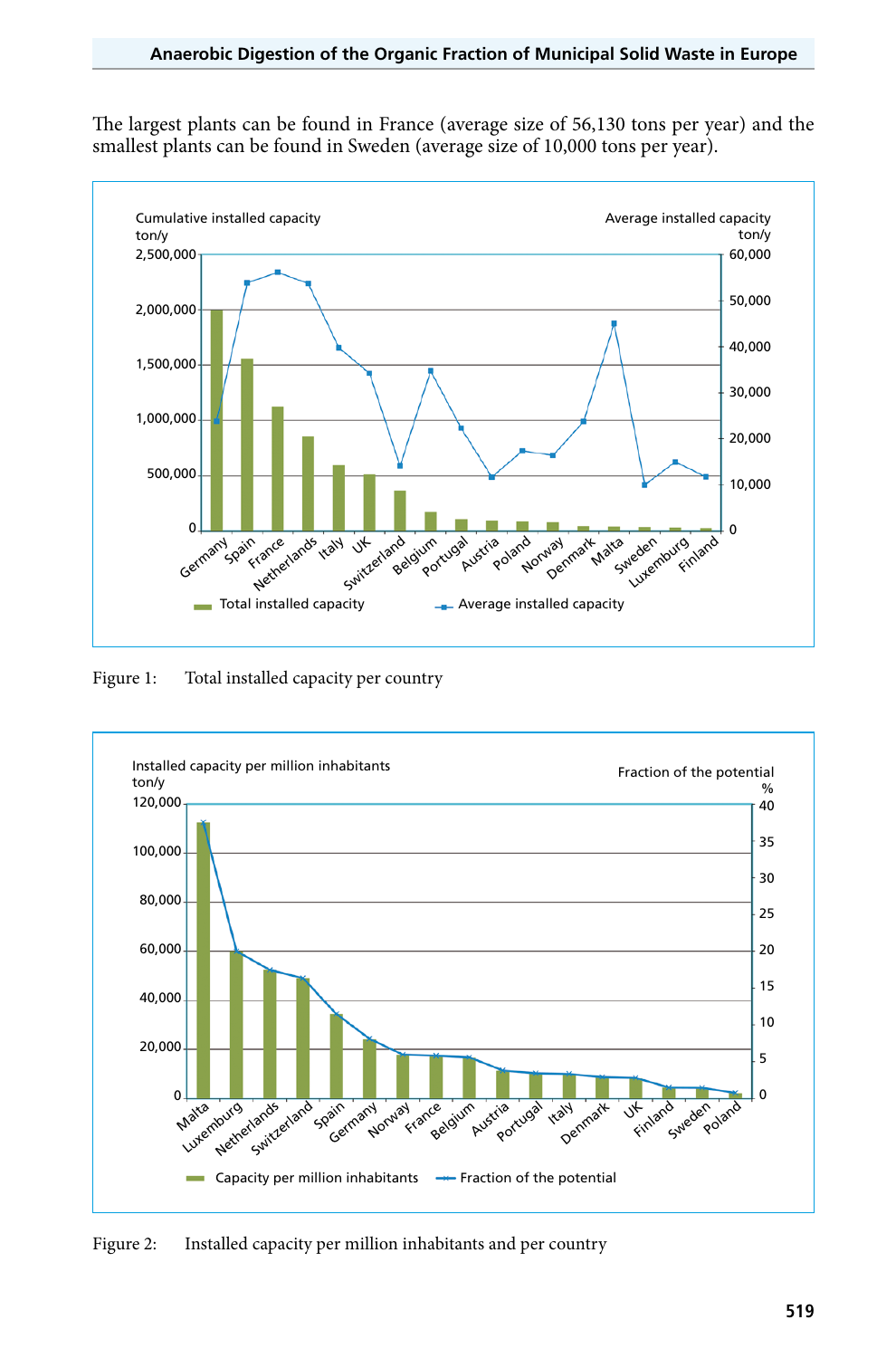The largest plants can be found in France (average size of 56,130 tons per year) and the smallest plants can be found in Sweden (average size of 10,000 tons per year).



Figure 1: Total installed capacity per country



Figure 2: Installed capacity per million inhabitants and per country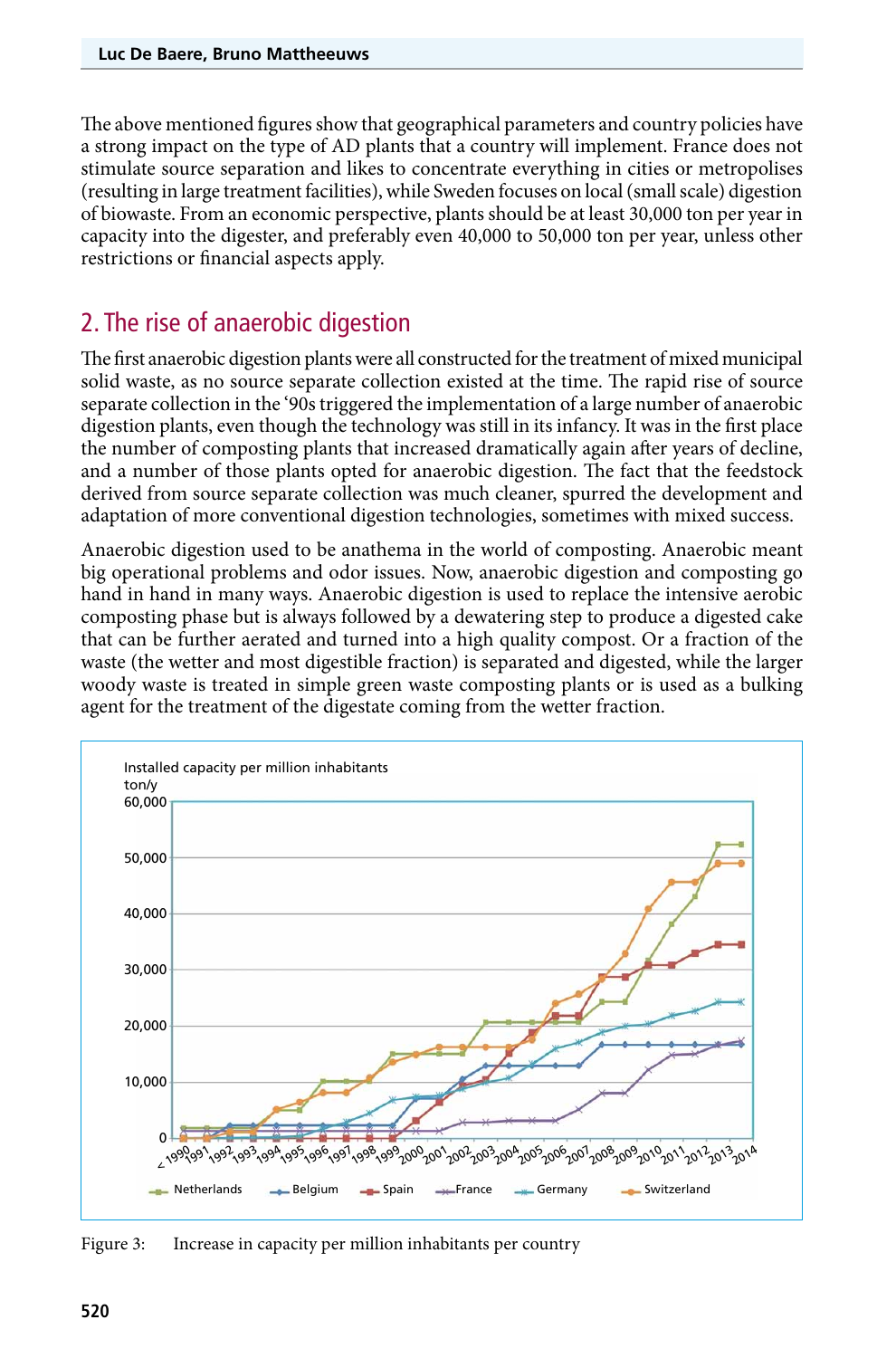The above mentioned figures show that geographical parameters and country policies have a strong impact on the type of AD plants that a country will implement. France does not stimulate source separation and likes to concentrate everything in cities or metropolises (resulting in large treatment facilities), while Sweden focuses on local (small scale) digestion of biowaste. From an economic perspective, plants should be at least 30,000 ton per year in capacity into the digester, and preferably even 40,000 to 50,000 ton per year, unless other restrictions or financial aspects apply.

### 2. The rise of anaerobic digestion

The first anaerobic digestion plants were all constructed for the treatment of mixed municipal solid waste, as no source separate collection existed at the time. The rapid rise of source separate collection in the '90s triggered the implementation of a large number of anaerobic digestion plants, even though the technology was still in its infancy. It was in the first place the number of composting plants that increased dramatically again after years of decline, and a number of those plants opted for anaerobic digestion. The fact that the feedstock derived from source separate collection was much cleaner, spurred the development and adaptation of more conventional digestion technologies, sometimes with mixed success.

Anaerobic digestion used to be anathema in the world of composting. Anaerobic meant big operational problems and odor issues. Now, anaerobic digestion and composting go hand in hand in many ways. Anaerobic digestion is used to replace the intensive aerobic composting phase but is always followed by a dewatering step to produce a digested cake that can be further aerated and turned into a high quality compost. Or a fraction of the waste (the wetter and most digestible fraction) is separated and digested, while the larger woody waste is treated in simple green waste composting plants or is used as a bulking agent for the treatment of the digestate coming from the wetter fraction.



Figure 3: Increase in capacity per million inhabitants per country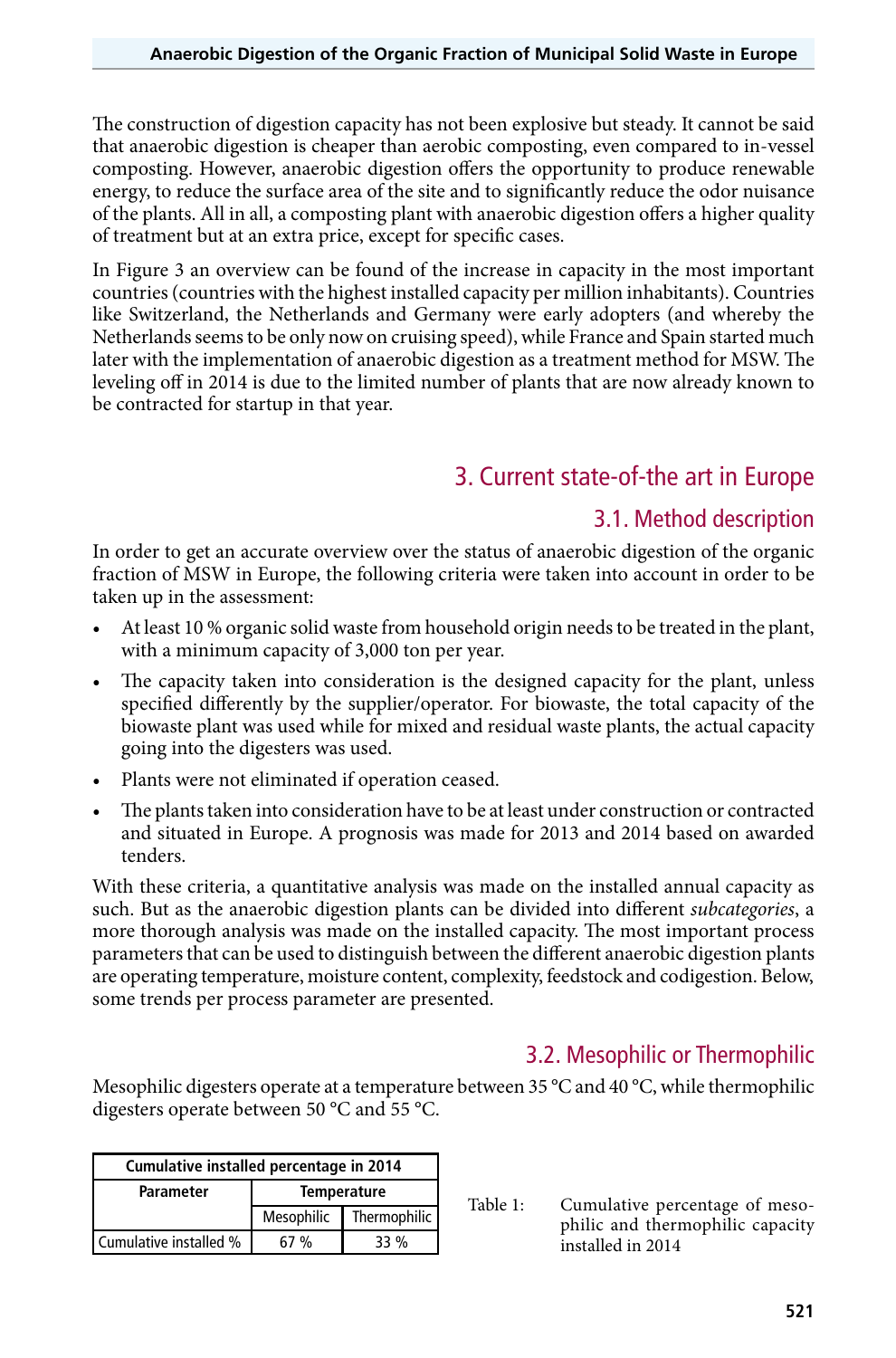The construction of digestion capacity has not been explosive but steady. It cannot be said that anaerobic digestion is cheaper than aerobic composting, even compared to in-vessel composting. However, anaerobic digestion offers the opportunity to produce renewable energy, to reduce the surface area of the site and to significantly reduce the odor nuisance of the plants. All in all, a composting plant with anaerobic digestion offers a higher quality of treatment but at an extra price, except for specific cases.

In Figure 3 an overview can be found of the increase in capacity in the most important countries (countries with the highest installed capacity per million inhabitants). Countries like Switzerland, the Netherlands and Germany were early adopters (and whereby the Netherlands seems to be only now on cruising speed), while France and Spain started much later with the implementation of anaerobic digestion as a treatment method for MSW. The leveling off in 2014 is due to the limited number of plants that are now already known to be contracted for startup in that year.

### 3. Current state-of-the art in Europe

### 3.1. Method description

In order to get an accurate overview over the status of anaerobic digestion of the organic fraction of MSW in Europe, the following criteria were taken into account in order to be taken up in the assessment:

- At least 10 % organic solid waste from household origin needs to be treated in the plant, with a minimum capacity of 3,000 ton per year.
- The capacity taken into consideration is the designed capacity for the plant, unless specified differently by the supplier/operator. For biowaste, the total capacity of the biowaste plant was used while for mixed and residual waste plants, the actual capacity going into the digesters was used.
- Plants were not eliminated if operation ceased.
- The plants taken into consideration have to be at least under construction or contracted and situated in Europe. A prognosis was made for 2013 and 2014 based on awarded tenders.

With these criteria, a quantitative analysis was made on the installed annual capacity as such. But as the anaerobic digestion plants can be divided into different *subcategories*, a more thorough analysis was made on the installed capacity. The most important process parameters that can be used to distinguish between the different anaerobic digestion plants are operating temperature, moisture content, complexity, feedstock and codigestion. Below, some trends per process parameter are presented.

### 3.2. Mesophilic or Thermophilic

Mesophilic digesters operate at a temperature between 35  $^{\circ}$ C and 40  $^{\circ}$ C, while thermophilic digesters operate between 50 °C and 55 °C.

| Cumulative installed percentage in 2014 |                    |              |  |
|-----------------------------------------|--------------------|--------------|--|
| <b>Parameter</b>                        | <b>Temperature</b> |              |  |
|                                         | Mesophilic         | Thermophilic |  |
| Cumulative installed %                  | 67 %               | 33 %         |  |

Table 1: Cumulative percentage of mesophilic and thermophilic capacity installed in 2014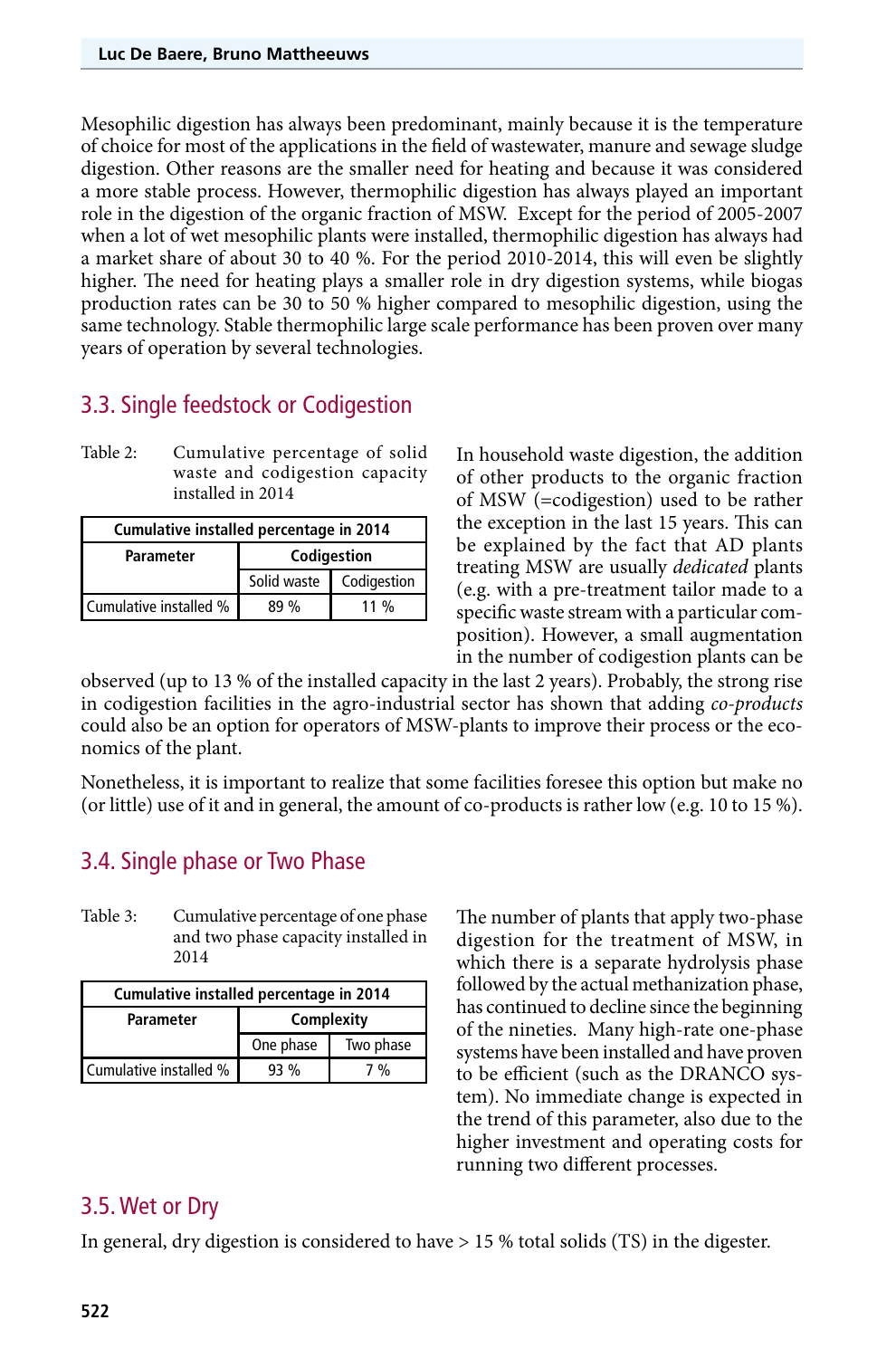Mesophilic digestion has always been predominant, mainly because it is the temperature of choice for most of the applications in the field of wastewater, manure and sewage sludge digestion. Other reasons are the smaller need for heating and because it was considered a more stable process. However, thermophilic digestion has always played an important role in the digestion of the organic fraction of MSW. Except for the period of 2005-2007 when a lot of wet mesophilic plants were installed, thermophilic digestion has always had a market share of about 30 to 40 %. For the period 2010-2014, this will even be slightly higher. The need for heating plays a smaller role in dry digestion systems, while biogas production rates can be 30 to 50 % higher compared to mesophilic digestion, using the same technology. Stable thermophilic large scale performance has been proven over many years of operation by several technologies.

### 3.3. Single feedstock or Codigestion

Table 2: Cumulative percentage of solid waste and codigestion capacity installed in 2014

| Cumulative installed percentage in 2014 |             |             |  |
|-----------------------------------------|-------------|-------------|--|
| <b>Parameter</b>                        | Codigestion |             |  |
|                                         | Solid waste | Codigestion |  |
| Cumulative installed %                  | 89%         | $11\%$      |  |

In household waste digestion, the addition of other products to the organic fraction of MSW (=codigestion) used to be rather the exception in the last 15 years. This can be explained by the fact that AD plants treating MSW are usually *dedicated* plants (e.g. with a pre-treatment tailor made to a specific waste stream with a particular composition). However, a small augmentation in the number of codigestion plants can be

observed (up to 13 % of the installed capacity in the last 2 years). Probably, the strong rise in codigestion facilities in the agro-industrial sector has shown that adding *co-products* could also be an option for operators of MSW-plants to improve their process or the economics of the plant.

Nonetheless, it is important to realize that some facilities foresee this option but make no (or little) use of it and in general, the amount of co-products is rather low (e.g. 10 to 15 %).

#### 3.4. Single phase or Two Phase

Table 3: Cumulative percentage of one phase and two phase capacity installed in 2014

| Cumulative installed percentage in 2014 |            |               |  |
|-----------------------------------------|------------|---------------|--|
| Parameter                               | Complexity |               |  |
|                                         | One phase  | Two phase     |  |
| Cumulative installed %                  | 93%        | $\frac{0}{0}$ |  |

The number of plants that apply two-phase digestion for the treatment of MSW, in which there is a separate hydrolysis phase followed by the actual methanization phase, has continued to decline since the beginning of the nineties. Many high-rate one-phase systems have been installed and have proven to be efficient (such as the DRANCO system). No immediate change is expected in the trend of this parameter, also due to the higher investment and operating costs for running two different processes.

#### 3.5. Wet or Dry

In general, dry digestion is considered to have > 15 % total solids (TS) in the digester.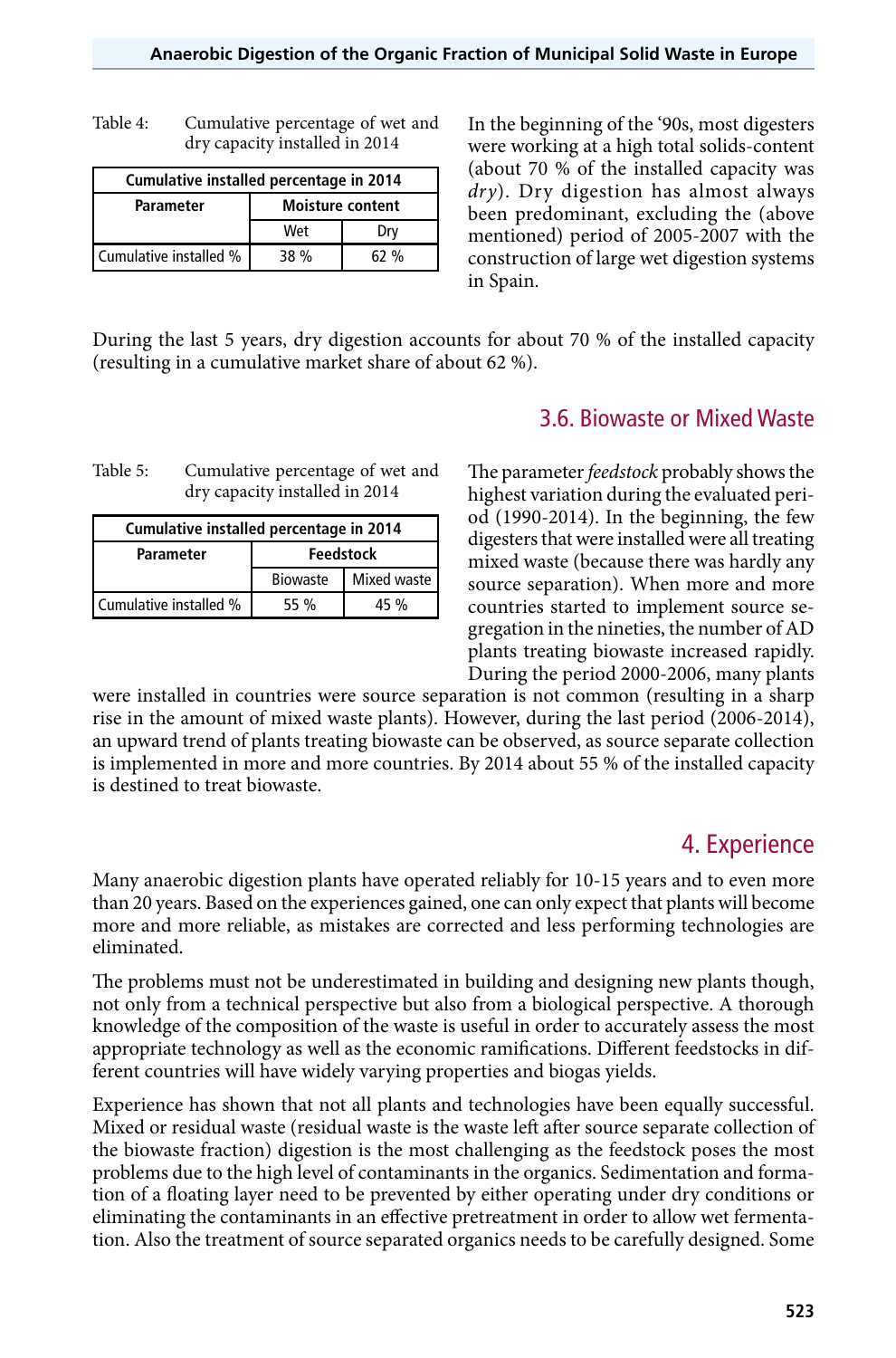| Table 4: | Cumulative percentage of wet and |
|----------|----------------------------------|
|          | dry capacity installed in 2014   |

| Cumulative installed percentage in 2014 |                         |     |  |
|-----------------------------------------|-------------------------|-----|--|
| <b>Parameter</b>                        | <b>Moisture content</b> |     |  |
|                                         | Wet                     | Drv |  |
| Cumulative installed %                  | 38 %                    | 62% |  |

In the beginning of the '90s, most digesters were working at a high total solids-content (about 70 % of the installed capacity was *dry*). Dry digestion has almost always been predominant, excluding the (above mentioned) period of 2005-2007 with the construction of large wet digestion systems in Spain.

During the last 5 years, dry digestion accounts for about 70 % of the installed capacity (resulting in a cumulative market share of about 62 %).

| Table 5: | Cumulative percentage of wet and |
|----------|----------------------------------|
|          | dry capacity installed in 2014   |

| Cumulative installed percentage in 2014 |                  |             |  |
|-----------------------------------------|------------------|-------------|--|
| <b>Parameter</b>                        | <b>Feedstock</b> |             |  |
|                                         | <b>Biowaste</b>  | Mixed waste |  |
| Cumulative installed %                  | 55 %             | 45 %        |  |

#### 3.6. Biowaste or Mixed Waste

The parameter *feedstock* probably shows the highest variation during the evaluated period (1990-2014). In the beginning, the few digesters that were installed were all treating mixed waste (because there was hardly any source separation). When more and more countries started to implement source segregation in the nineties, the number of AD plants treating biowaste increased rapidly. During the period 2000-2006, many plants

were installed in countries were source separation is not common (resulting in a sharp rise in the amount of mixed waste plants). However, during the last period (2006-2014), an upward trend of plants treating biowaste can be observed, as source separate collection is implemented in more and more countries. By 2014 about 55 % of the installed capacity is destined to treat biowaste.

### 4. Experience

Many anaerobic digestion plants have operated reliably for 10-15 years and to even more than 20 years. Based on the experiences gained, one can only expect that plants will become more and more reliable, as mistakes are corrected and less performing technologies are eliminated.

The problems must not be underestimated in building and designing new plants though, not only from a technical perspective but also from a biological perspective. A thorough knowledge of the composition of the waste is useful in order to accurately assess the most appropriate technology as well as the economic ramifications. Different feedstocks in different countries will have widely varying properties and biogas yields.

Experience has shown that not all plants and technologies have been equally successful. Mixed or residual waste (residual waste is the waste left after source separate collection of the biowaste fraction) digestion is the most challenging as the feedstock poses the most problems due to the high level of contaminants in the organics. Sedimentation and formation of a floating layer need to be prevented by either operating under dry conditions or eliminating the contaminants in an effective pretreatment in order to allow wet fermentation. Also the treatment of source separated organics needs to be carefully designed. Some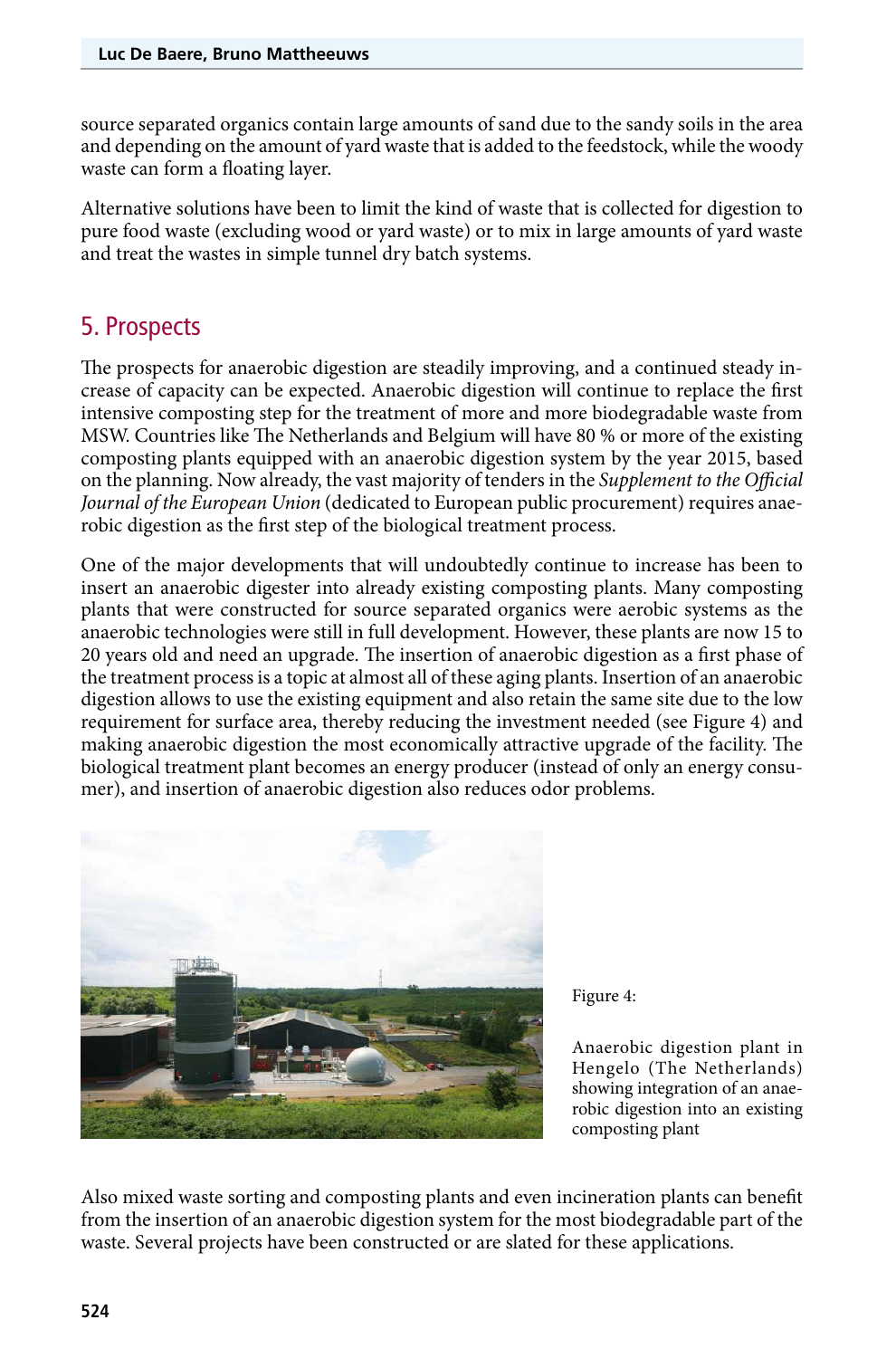source separated organics contain large amounts of sand due to the sandy soils in the area and depending on the amount of yard waste that is added to the feedstock, while the woody waste can form a floating layer.

Alternative solutions have been to limit the kind of waste that is collected for digestion to pure food waste (excluding wood or yard waste) or to mix in large amounts of yard waste and treat the wastes in simple tunnel dry batch systems.

## 5. Prospects

The prospects for anaerobic digestion are steadily improving, and a continued steady increase of capacity can be expected. Anaerobic digestion will continue to replace the first intensive composting step for the treatment of more and more biodegradable waste from MSW. Countries like The Netherlands and Belgium will have 80 % or more of the existing composting plants equipped with an anaerobic digestion system by the year 2015, based on the planning. Now already, the vast majority of tenders in the *Supplement to the Official Journal of the European Union* (dedicated to European public procurement) requires anaerobic digestion as the first step of the biological treatment process.

One of the major developments that will undoubtedly continue to increase has been to insert an anaerobic digester into already existing composting plants. Many composting plants that were constructed for source separated organics were aerobic systems as the anaerobic technologies were still in full development. However, these plants are now 15 to 20 years old and need an upgrade. The insertion of anaerobic digestion as a first phase of the treatment process is a topic at almost all of these aging plants. Insertion of an anaerobic digestion allows to use the existing equipment and also retain the same site due to the low requirement for surface area, thereby reducing the investment needed (see Figure 4) and making anaerobic digestion the most economically attractive upgrade of the facility. The biological treatment plant becomes an energy producer (instead of only an energy consumer), and insertion of anaerobic digestion also reduces odor problems.



Figure 4:

Anaerobic digestion plant in Hengelo (The Netherlands) showing integration of an anaerobic digestion into an existing composting plant

Also mixed waste sorting and composting plants and even incineration plants can benefit from the insertion of an anaerobic digestion system for the most biodegradable part of the waste. Several projects have been constructed or are slated for these applications.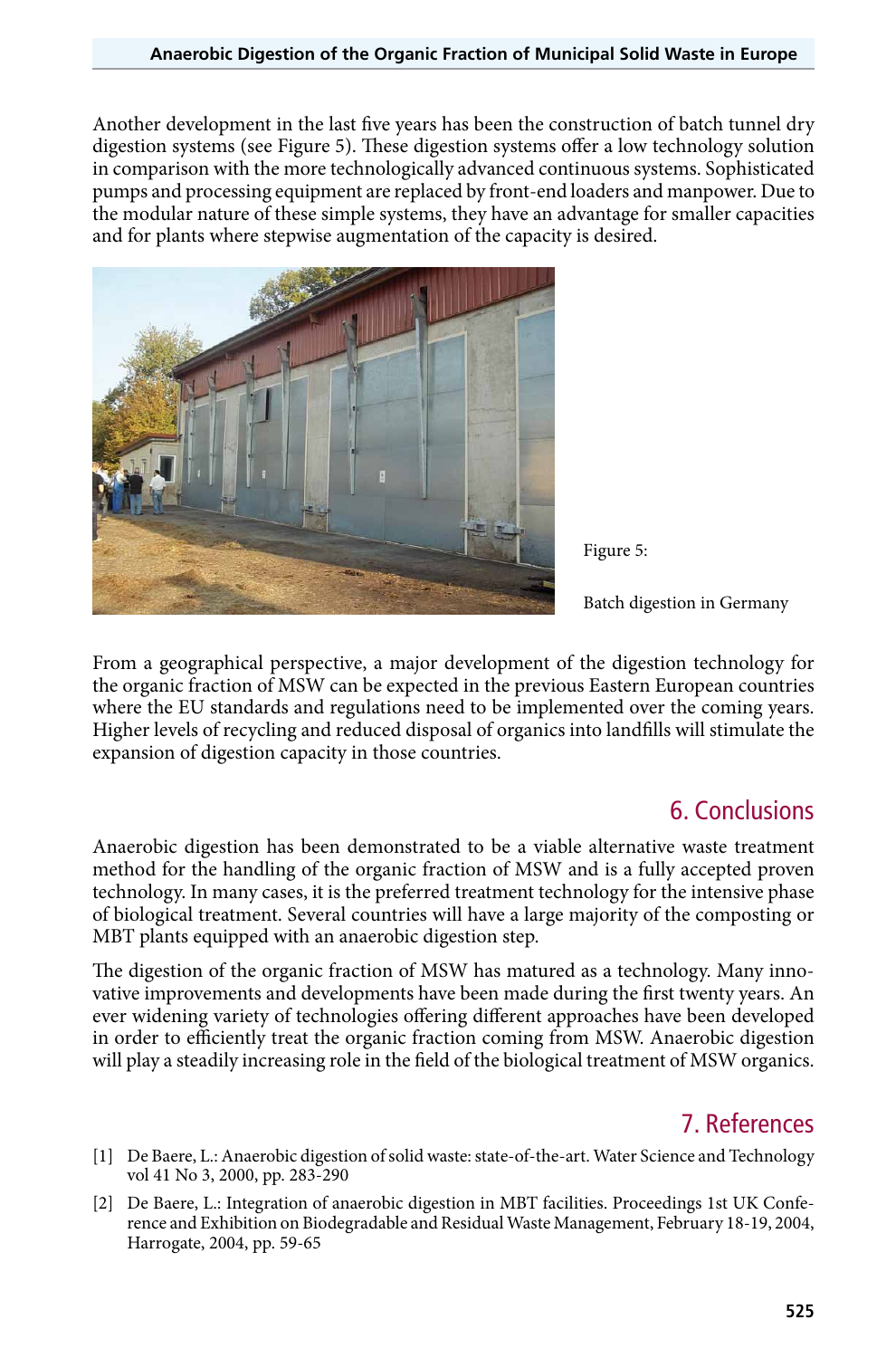Another development in the last five years has been the construction of batch tunnel dry digestion systems (see Figure 5). These digestion systems offer a low technology solution in comparison with the more technologically advanced continuous systems. Sophisticated pumps and processing equipment are replaced by front-end loaders and manpower. Due to the modular nature of these simple systems, they have an advantage for smaller capacities and for plants where stepwise augmentation of the capacity is desired.



Figure 5:

Batch digestion in Germany

From a geographical perspective, a major development of the digestion technology for the organic fraction of MSW can be expected in the previous Eastern European countries where the EU standards and regulations need to be implemented over the coming years. Higher levels of recycling and reduced disposal of organics into landfills will stimulate the expansion of digestion capacity in those countries.

### 6. Conclusions

Anaerobic digestion has been demonstrated to be a viable alternative waste treatment method for the handling of the organic fraction of MSW and is a fully accepted proven technology. In many cases, it is the preferred treatment technology for the intensive phase of biological treatment. Several countries will have a large majority of the composting or MBT plants equipped with an anaerobic digestion step.

The digestion of the organic fraction of MSW has matured as a technology. Many innovative improvements and developments have been made during the first twenty years. An ever widening variety of technologies offering different approaches have been developed in order to efficiently treat the organic fraction coming from MSW. Anaerobic digestion will play a steadily increasing role in the field of the biological treatment of MSW organics.

### 7. References

- [1] De Baere, L.: Anaerobic digestion of solid waste: state-of-the-art. Water Science and Technology vol 41 No 3, 2000, pp. 283-290
- [2] De Baere, L.: Integration of anaerobic digestion in MBT facilities. Proceedings 1st UK Conference and Exhibition on Biodegradable and Residual Waste Management, February 18-19, 2004, Harrogate, 2004, pp. 59-65